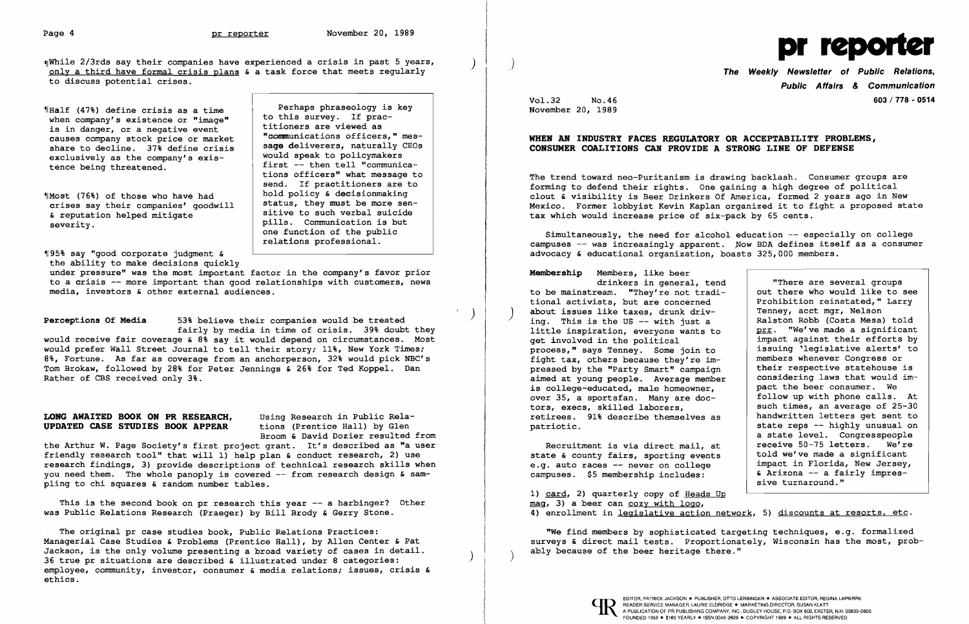$\P$ While 2/3rds say their companies have experienced a crisis in past 5 years, only a third have formal crisis plans & a task force that meets regularly to discuss potential crises.

Where  $(47%)$  define crisis as a time<br>to this survey. If prac-<br>to this survey. If pracwhen company's existence or "image" is in danger, or a negative event<br>is in danger, or a negative event titioners are viewed as<br>causes company stock price or market "communications officers," mescauses company stock price or market communications officers," mes-<br>chara to docline state of the cricia sage deliverers, naturally CEOs share to decline.  $37\frac{1}{8}$  define crisis  $\begin{array}{|l|l|} \hline \text{sage delivers, naturally} \end{array}$ <br>exclusively as the company's existed would speak to policymakers share to decrine. She derine crisis and would speak to policymakers tence being threatened.

tions officers" what message to send. If practitioners are to<br>hold policy & decisionmaking

 $~1$ Most (76%) of those who have had a hold policy & decision making crises say their companies' goodwill | status, they must be more sen-& reputation helped mitigate<br>severity. pills. Communication is but severity.

first -- then tell "communica

sitive to such verbal suicide

one function of the public relations professional.

~r 95% say "good corporate judgment & the ability to make decisions quickly

under pressure" was the most important factor in the company's favor prior to a crisis -- more important than good relationships with customers, news media, investors & other external audiences.

This is the second book on pr research this year  $-$  a harbinger? Other was Public Relations Research (Praeger) by Bill Brody & Gerry Stone.

) Perceptions Of Media 53% believe their companies would be treated

fairly by media in time of crisis. 39% doubt they would receive fair coverage & 8% say it would depend on circumstances. Most would prefer Wall Street Journal to tell their story; 11%, New York Times; 8%, Fortune. As far as coverage from an anchorperson, 32% would pick NBC's Tom Brokaw, followed by 28% for Peter Jennings & 26% for Ted Koppel. Dan Rather of CBS received only 3%.

## LONG AWAITED BOOK ON PR RESEARCH, Using Research in Public Rela-<br>UPDATED CASE STUDIES BOOK APPEAR tions (Prentice Hall) by Glen UPDATED CASE STUDIES BOOK APPEAR

Broom & David Dozier resulted from

the Arthur W. Page Society's first project grant. It's described as "a user friendly research tool" that will 1) help plan & conduct research, 2) use research findings, 3) provide descriptions of technical research skills when you need them. The whole panoply is covered -- from research design & sampling to chi squares & random number tables.

1) card, 2) quarterly copy of Heads Up mag, 3) a beer can cozy with logo, 4) enrollment in legislative action network, 5) discounts at resorts, etc.

| <b>Membership</b> Members, like beer<br>drinkers in general, tend<br>to be mainstream. "They're not tradi-<br>tional activists, but are concerned<br>about issues like taxes, drunk driv-<br>ing. This is the US -- with just a<br>little inspiration, everyone wants to<br>get involved in the political<br>process," says Tenney. Some join to<br>fight tax, others because they're im-<br>pressed by the "Party Smart" campaign<br>aimed at young people. Average member<br>is college-educated, male homeowner,<br>over 35, a sportsfan. Many are doc-<br>tors, execs, skilled laborers,<br>retirees. 91% describe themselves as<br>patriotic.<br>Recruitment is via direct mail, at<br>state & county fairs, sporting events | "There are several groups<br>out there who would like to see<br>Prohibition reinstated, " Larry<br>Tenney, acct mgr, Nelson<br>Ralston Robb (Costa Mesa) told<br>prr. "We've made a significant<br>impact against their efforts by<br>issuing 'legislative alerts' to<br>members whenever Congress or<br>their respective statehouse is<br>considering laws that would im-<br>pact the beer consumer. We<br>follow up with phone calls. At<br>such times, an average of 25-30<br>handwritten letters get sent to<br>state reps -- highly unusual on<br>a state level. Congresspeople<br>receive 50-75 letters. We're<br>told we've made a significant<br>impact in Florida, New Jersey, |
|-----------------------------------------------------------------------------------------------------------------------------------------------------------------------------------------------------------------------------------------------------------------------------------------------------------------------------------------------------------------------------------------------------------------------------------------------------------------------------------------------------------------------------------------------------------------------------------------------------------------------------------------------------------------------------------------------------------------------------------|-----------------------------------------------------------------------------------------------------------------------------------------------------------------------------------------------------------------------------------------------------------------------------------------------------------------------------------------------------------------------------------------------------------------------------------------------------------------------------------------------------------------------------------------------------------------------------------------------------------------------------------------------------------------------------------------|
| e.g. auto races -- never on college<br>campuses. \$5 membership includes:                                                                                                                                                                                                                                                                                                                                                                                                                                                                                                                                                                                                                                                         | & Arizona -- a fairly impres-<br>sive turnaround."                                                                                                                                                                                                                                                                                                                                                                                                                                                                                                                                                                                                                                      |
| $11$ gard $21$ guartorly gony of Hoods Hn                                                                                                                                                                                                                                                                                                                                                                                                                                                                                                                                                                                                                                                                                         |                                                                                                                                                                                                                                                                                                                                                                                                                                                                                                                                                                                                                                                                                         |

"We find members by sophisticated targeting techniques, e.g. formalized surveys & direct mail tests. Proportionately, Wisconsin has the most, probably because of the beer heritage there."

The original pr case studies book, Public Relations Practices: Managerial Case Studies & Problems (Prentice Hall), by Allen Center & Pat Jackson, is the only volume presenting a broad variety of cases in detail.<br>36 true pr situations are described & illustrated under 8 categories: employee, community, investor, consumer & media relations; issues, crisis & ethics.



Public Affairs & Communication Vol.32 No.46 603/778 - 0514

November 20, 1989

## WHEN AN INDUSTRY FACES REGULATORY OR ACCEPTABILITY PROBLEMS, CONSUMER COALITIONS CAN PROVIDE A STRONG LINE OF DEFENSE

The trend toward neo-Puritanism is drawing backlash. Consumer groups are forming to defend their rights. One gaining a high degree of political clout & visibility is Beer Drinkers Of America, formed 2 years ago in New Mexico. Former lobbyist Kevin Kaplan organized it to fight a proposed state tax which would increase price of six-pack by 65 cents.

Simultaneously, the need for alcohol education -- especially on college campuses  $--$  was increasingly apparent. Now BDA defines itself as a consumer advocacy & educational organization, boasts 325,000 members.